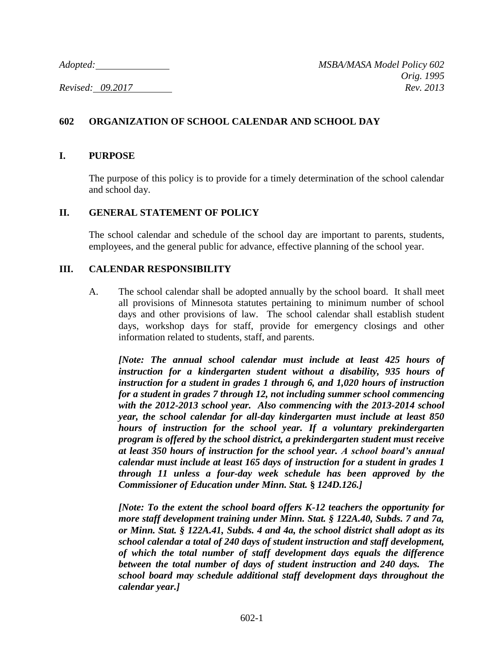# **602 ORGANIZATION OF SCHOOL CALENDAR AND SCHOOL DAY**

### **I. PURPOSE**

The purpose of this policy is to provide for a timely determination of the school calendar and school day.

#### **II. GENERAL STATEMENT OF POLICY**

The school calendar and schedule of the school day are important to parents, students, employees, and the general public for advance, effective planning of the school year.

### **III. CALENDAR RESPONSIBILITY**

A. The school calendar shall be adopted annually by the school board. It shall meet all provisions of Minnesota statutes pertaining to minimum number of school days and other provisions of law. The school calendar shall establish student days, workshop days for staff, provide for emergency closings and other information related to students, staff, and parents.

*[Note: The annual school calendar must include at least 425 hours of instruction for a kindergarten student without a disability, 935 hours of instruction for a student in grades 1 through 6, and 1,020 hours of instruction for a student in grades 7 through 12, not including summer school commencing with the 2012-2013 school year. Also commencing with the 2013-2014 school year, the school calendar for all-day kindergarten must include at least 850 hours of instruction for the school year. If a voluntary prekindergarten program is offered by the school district, a prekindergarten student must receive at least 350 hours of instruction for the school year. A school board's annual calendar must include at least 165 days of instruction for a student in grades 1 through 11 unless a four-day week schedule has been approved by the Commissioner of Education under Minn. Stat.* **§** *124D.126.]*

*[Note: To the extent the school board offers K-12 teachers the opportunity for more staff development training under Minn. Stat. § 122A.40, Subds. 7 and 7a, or Minn. Stat. § 122A.41, Subds. 4 and 4a, the school district shall adopt as its school calendar a total of 240 days of student instruction and staff development, of which the total number of staff development days equals the difference between the total number of days of student instruction and 240 days. The school board may schedule additional staff development days throughout the calendar year.]*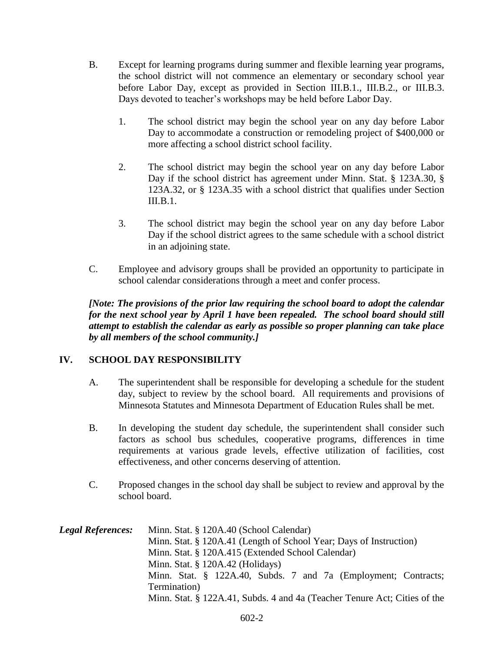- B. Except for learning programs during summer and flexible learning year programs, the school district will not commence an elementary or secondary school year before Labor Day, except as provided in Section III.B.1., III.B.2., or III.B.3. Days devoted to teacher's workshops may be held before Labor Day.
	- 1. The school district may begin the school year on any day before Labor Day to accommodate a construction or remodeling project of \$400,000 or more affecting a school district school facility.
	- 2. The school district may begin the school year on any day before Labor Day if the school district has agreement under Minn. Stat. § 123A.30, § 123A.32, or § 123A.35 with a school district that qualifies under Section  $III. B.1.$
	- 3. The school district may begin the school year on any day before Labor Day if the school district agrees to the same schedule with a school district in an adjoining state.
- C. Employee and advisory groups shall be provided an opportunity to participate in school calendar considerations through a meet and confer process.

*[Note: The provisions of the prior law requiring the school board to adopt the calendar for the next school year by April 1 have been repealed. The school board should still attempt to establish the calendar as early as possible so proper planning can take place by all members of the school community.]*

# **IV. SCHOOL DAY RESPONSIBILITY**

- A. The superintendent shall be responsible for developing a schedule for the student day, subject to review by the school board. All requirements and provisions of Minnesota Statutes and Minnesota Department of Education Rules shall be met.
- B. In developing the student day schedule, the superintendent shall consider such factors as school bus schedules, cooperative programs, differences in time requirements at various grade levels, effective utilization of facilities, cost effectiveness, and other concerns deserving of attention.
- C. Proposed changes in the school day shall be subject to review and approval by the school board.

| <b>Legal References:</b> | Minn. Stat. § 120A.40 (School Calendar)                                   |
|--------------------------|---------------------------------------------------------------------------|
|                          | Minn. Stat. § 120A.41 (Length of School Year; Days of Instruction)        |
|                          | Minn. Stat. § 120A.415 (Extended School Calendar)                         |
|                          | Minn. Stat. $\S$ 120A.42 (Holidays)                                       |
|                          | Minn. Stat. § 122A.40, Subds. 7 and 7a (Employment; Contracts;            |
|                          | Termination)                                                              |
|                          | Minn. Stat. § 122A.41, Subds. 4 and 4a (Teacher Tenure Act; Cities of the |